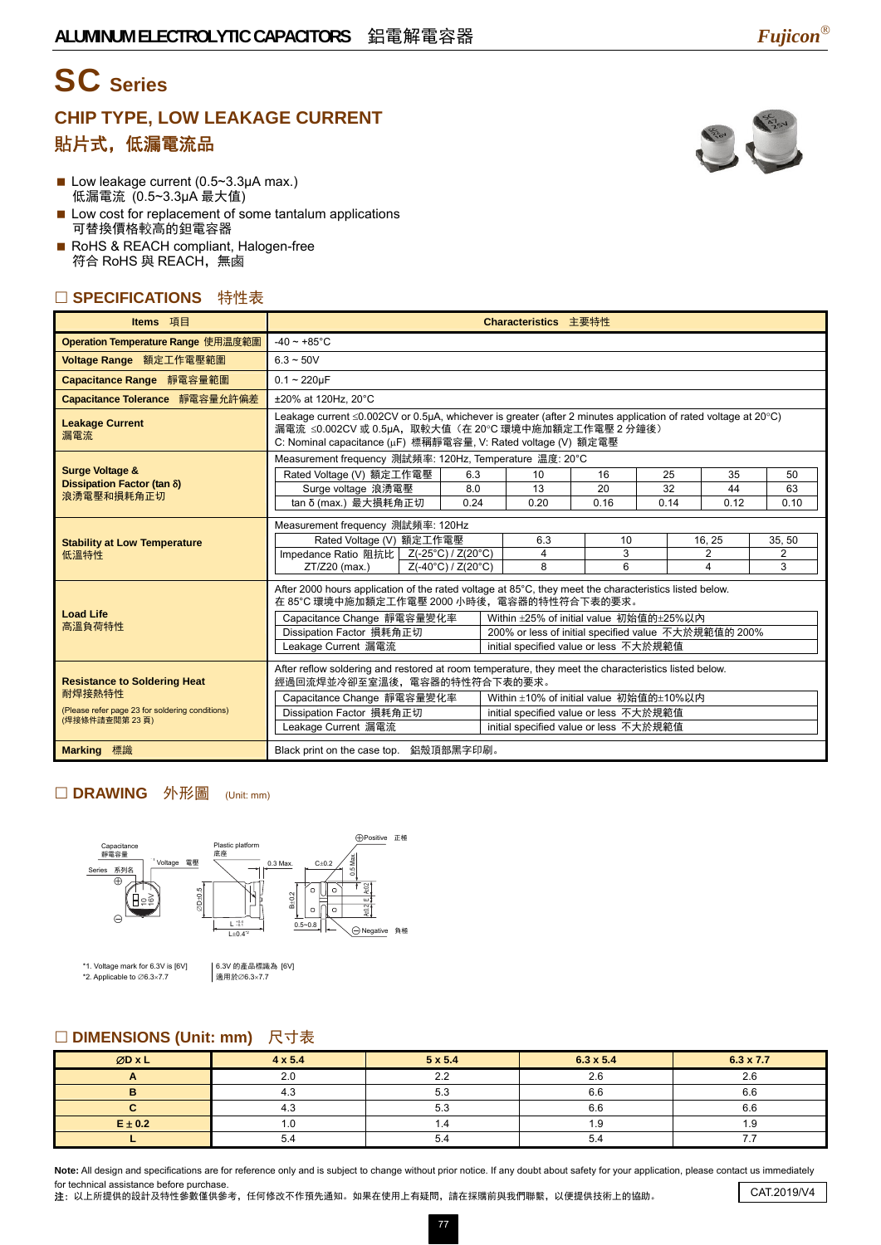# SC **Series**

## **CHIP TYPE, LOW LEAKAGE CURRENT**  貼片式,低漏電流品



- Low cost for replacement of some tantalum applications 可替換價格較高的鉭電容器
- RoHS & REACH compliant, Halogen-free 符合 RoHS 與 REACH,無鹵

### □ SPECIFICATIONS 特性表

| Items 項目                                                         | Characteristics 主要特性                                                                                                                                                                                                                  |  |             |                                         |            |            |                |            |  |
|------------------------------------------------------------------|---------------------------------------------------------------------------------------------------------------------------------------------------------------------------------------------------------------------------------------|--|-------------|-----------------------------------------|------------|------------|----------------|------------|--|
| Operation Temperature Range 使用温度範圍                               | $-40 - +85^{\circ}$ C                                                                                                                                                                                                                 |  |             |                                         |            |            |                |            |  |
| Voltage Range 額定工作電壓範圍                                           | $6.3 - 50V$                                                                                                                                                                                                                           |  |             |                                         |            |            |                |            |  |
| Capacitance Range 靜電容量範圍                                         | $0.1 - 220 \mu F$                                                                                                                                                                                                                     |  |             |                                         |            |            |                |            |  |
| Capacitance Tolerance 靜電容量允許偏差                                   | ±20% at 120Hz, 20°C                                                                                                                                                                                                                   |  |             |                                         |            |            |                |            |  |
| <b>Leakage Current</b><br>漏電流                                    | Leakage current ≤0.002CV or 0.5µA, whichever is greater (after 2 minutes application of rated voltage at 20°C)<br>漏電流 ≤0.002CV 或 0.5µA,取較大值(在 20℃ 環境中施加額定工作電壓 2 分鐘後)<br>C: Nominal capacitance (µF) 標稱靜電容量, V: Rated voltage (V) 額定電壓 |  |             |                                         |            |            |                |            |  |
|                                                                  | Measurement frequency 測試頻率: 120Hz, Temperature 温度: 20°C                                                                                                                                                                               |  |             |                                         |            |            |                |            |  |
| <b>Surge Voltage &amp;</b><br>Dissipation Factor (tan δ)         | Rated Voltage (V) 額定工作電壓                                                                                                                                                                                                              |  | 6.3         | 10                                      | 16         | 25         | 35             | 50         |  |
| 浪湧電壓和損耗角正切                                                       | Surge voltage 浪湧電壓<br>tan δ (max.) 最大損耗角正切                                                                                                                                                                                            |  | 8.0<br>0.24 | 13<br>0.20                              | 20<br>0.16 | 32<br>0.14 | 44<br>0.12     | 63<br>0.10 |  |
|                                                                  |                                                                                                                                                                                                                                       |  |             |                                         |            |            |                |            |  |
|                                                                  | Measurement frequency 測試頻率: 120Hz<br>Rated Voltage (V) 額定工作電壓<br>6.3<br>16, 25<br>10                                                                                                                                                  |  |             |                                         |            |            |                | 35, 50     |  |
| <b>Stability at Low Temperature</b><br>低溫特性                      | Impedance Ratio 阻抗比 Z(-25°C) / Z(20°C)                                                                                                                                                                                                |  |             | 4                                       | 3          |            | $\overline{2}$ | 2          |  |
|                                                                  | Z(-40°C) / Z(20°C)<br>$ZT/Z20$ (max.)                                                                                                                                                                                                 |  |             | 8                                       | 6          |            | 4              | 3          |  |
|                                                                  | After 2000 hours application of the rated voltage at 85°C, they meet the characteristics listed below.                                                                                                                                |  |             |                                         |            |            |                |            |  |
| <b>Load Life</b>                                                 | 在 85°C 環境中施加額定工作電壓 2000 小時後,電容器的特性符合下表的要求。                                                                                                                                                                                            |  |             |                                         |            |            |                |            |  |
| 高溫負荷特性                                                           | Capacitance Change 靜電容量變化率<br>Within ±25% of initial value 初始值的±25%以內<br>Dissipation Factor 損耗角正切<br>200% or less of initial specified value 不大於規範值的 200%                                                                             |  |             |                                         |            |            |                |            |  |
|                                                                  | Leakage Current 漏電流<br>initial specified value or less 不大於規範值                                                                                                                                                                         |  |             |                                         |            |            |                |            |  |
|                                                                  | After reflow soldering and restored at room temperature, they meet the characteristics listed below.                                                                                                                                  |  |             |                                         |            |            |                |            |  |
| <b>Resistance to Soldering Heat</b>                              | 經過回流焊並冷卻至室溫後,電容器的特性符合下表的要求。                                                                                                                                                                                                           |  |             |                                         |            |            |                |            |  |
| 耐焊接熱特性                                                           | Capacitance Change 靜電容量變化率                                                                                                                                                                                                            |  |             | Within ±10% of initial value 初始值的±10%以内 |            |            |                |            |  |
| (Please refer page 23 for soldering conditions)<br>(焊接條件請查閱第23頁) | Dissipation Factor 損耗角正切                                                                                                                                                                                                              |  |             | initial specified value or less 不大於規範值  |            |            |                |            |  |
|                                                                  | Leakage Current 漏電流                                                                                                                                                                                                                   |  |             | initial specified value or less 不大於規範值  |            |            |                |            |  |
| <b>Marking 標識</b>                                                | Black print on the case top. 鋁殼頂部黑字印刷。                                                                                                                                                                                                |  |             |                                         |            |            |                |            |  |

#### □ DRAWING 外形圖 (Unit: mm)



\*1. Voltage mark for 6.3V is [6V] \*2. Applicable to ∅6.3×7.7

6.3V 的產品標識為 [6V] 適用於∅6.3×7.7

#### □ DIMENSIONS (Unit: mm) 尺寸表

| ØDxL            | $4 \times 5.4$  | $5 \times 5.4$ | $6.3 \times 5.4$ | 6.3 x 7.7 |  |
|-----------------|-----------------|----------------|------------------|-----------|--|
|                 | $\Omega$<br>2.U | 2.2            | 2.6              | 2.6       |  |
| ن. ۲            |                 | 5.3            | o.c              | 6.6       |  |
|                 | 4.J             | 5.3            | <u>_</u><br>b.c  | 6.6       |  |
| $E \pm 0.2$     |                 |                | ی ا              | ।.ਖ       |  |
| 54<br>5.4<br>◡- |                 |                | 5.4              |           |  |

Note: All design and specifications are for reference only and is subject to change without prior notice. If any doubt about safety for your application, please contact us immediately for technical assistance before purchase.

注: 以上所提供的設計及特性參數僅供參考,任何修改不作預先通知。如果在使用上有疑問,請在採購前與我們聯繫,以便提供技術上的協助。 CAT.2019/V4